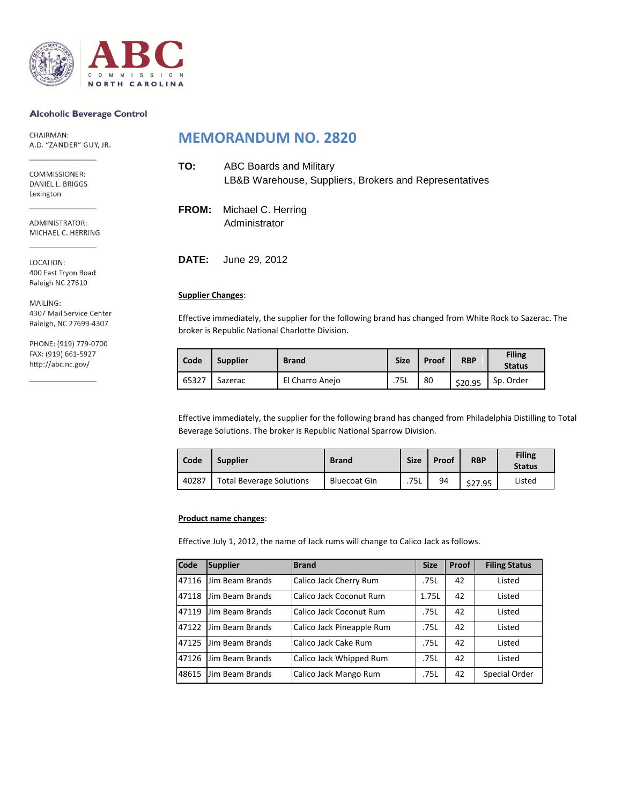

#### **Alcoholic Beverage Control**

CHAIRMAN: A.D. "ZANDER" GUY, JR.

COMMISSIONER: DANIEL L. BRIGGS Lexington

ADMINISTRATOR: MICHAEL C. HERRING

LOCATION: 400 East Tryon Road Raleigh NC 27610

MAILING: 4307 Mail Service Center Raleigh, NC 27699-4307

PHONE: (919) 779-0700 FAX: (919) 661-5927 http://abc.nc.gov/

### **MEMORANDUM NO. 2820**

| TO: | <b>ABC Boards and Military</b><br>LB&B Warehouse, Suppliers, Brokers and Representatives |
|-----|------------------------------------------------------------------------------------------|
|     | <b>FROM:</b> Michael C. Herring<br>Administrator                                         |

**DATE:** June 29, 2012

#### **Supplier Changes**:

Effective immediately, the supplier for the following brand has changed from White Rock to Sazerac. The broker is Republic National Charlotte Division.

| Code  | <b>Supplier</b> | <b>Brand</b>    | <b>Size</b> | Proof | <b>RBP</b> | <b>Filing</b><br><b>Status</b> |
|-------|-----------------|-----------------|-------------|-------|------------|--------------------------------|
| 65327 | Sazerac         | El Charro Anejo | .75L        | 80    | \$20.95    | Sp. Order                      |

Effective immediately, the supplier for the following brand has changed from Philadelphia Distilling to Total Beverage Solutions. The broker is Republic National Sparrow Division.

| Code  | <b>Supplier</b>                 | <b>Brand</b>        | <b>Size</b> | Proof | <b>RBP</b> | <b>Filing</b><br><b>Status</b> |
|-------|---------------------------------|---------------------|-------------|-------|------------|--------------------------------|
| 40287 | <b>Total Beverage Solutions</b> | <b>Bluecoat Gin</b> | .75L        | 94    | \$27.95    | Listed                         |

#### **Product name changes**:

Effective July 1, 2012, the name of Jack rums will change to Calico Jack as follows.

| Code  | <b>Supplier</b> | <b>Brand</b>              | <b>Size</b> | Proof | <b>Filing Status</b> |
|-------|-----------------|---------------------------|-------------|-------|----------------------|
| 47116 | Jim Beam Brands | Calico Jack Cherry Rum    | .75L        | 42    | Listed               |
| 47118 | Jim Beam Brands | Calico Jack Coconut Rum   | 1.75L       | 42    | Listed               |
| 47119 | Jim Beam Brands | Calico Jack Coconut Rum   | .75L        | 42    | Listed               |
| 47122 | Jim Beam Brands | Calico Jack Pineapple Rum | .75L        | 42    | Listed               |
| 47125 | Jim Beam Brands | Calico Jack Cake Rum      | .75L        | 42    | Listed               |
| 47126 | Jim Beam Brands | Calico Jack Whipped Rum   | .75L        | 42    | Listed               |
| 48615 | Jim Beam Brands | Calico Jack Mango Rum     | .75L        | 42    | Special Order        |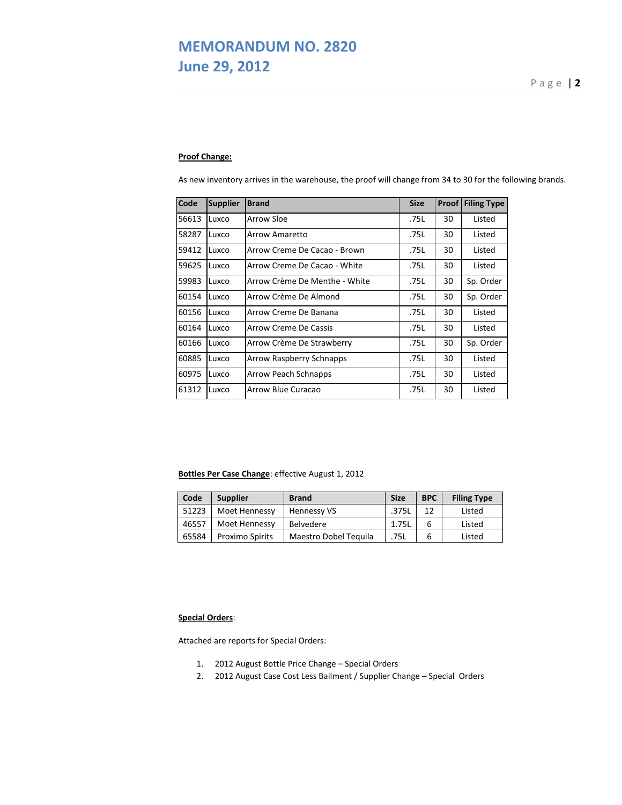# **MEMORANDUM NO. 2820 June 29, 2012** P a g e  $\overline{29}$  a g e  $\overline{29}$  a g e  $\overline{29}$  a g e  $\overline{29}$

### **Proof Change:**

As new inventory arrives in the warehouse, the proof will change from 34 to 30 for the following brands.

| Code  | <b>Supplier</b> | <b>Brand</b>                  | <b>Size</b> | Proof | <b>Filing Type</b> |
|-------|-----------------|-------------------------------|-------------|-------|--------------------|
| 56613 | Luxco           | Arrow Sloe                    | .75L        | 30    | Listed             |
| 58287 | Luxco           | Arrow Amaretto                | .75L        | 30    | Listed             |
| 59412 | Luxco           | Arrow Creme De Cacao - Brown  | .75L        | 30    | Listed             |
| 59625 | Luxco           | Arrow Creme De Cacao - White  | .75L        | 30    | Listed             |
| 59983 | Luxco           | Arrow Crème De Menthe - White | .75L        | 30    | Sp. Order          |
| 60154 | Luxco           | Arrow Crème De Almond         | .75L        | 30    | Sp. Order          |
| 60156 | Luxco           | Arrow Creme De Banana         | .75L        | 30    | Listed             |
| 60164 | Luxco           | <b>Arrow Creme De Cassis</b>  | .75L        | 30    | Listed             |
| 60166 | Luxco           | Arrow Crème De Strawberry     | .75L        | 30    | Sp. Order          |
| 60885 | Luxco           | Arrow Raspberry Schnapps      | .75L        | 30    | Listed             |
| 60975 | Luxco           | Arrow Peach Schnapps          | .75L        | 30    | Listed             |
| 61312 | Luxco           | Arrow Blue Curacao            | .75L        | 30    | Listed             |

#### **Bottles Per Case Change**: effective August 1, 2012

| Code  | <b>Supplier</b>        | <b>Brand</b>          | <b>Size</b> | <b>BPC</b> | <b>Filing Type</b> |
|-------|------------------------|-----------------------|-------------|------------|--------------------|
| 51223 | <b>Moet Hennessy</b>   | Hennessy VS           | .375L       | 12         | Listed             |
| 46557 | Moet Hennessy          | Belvedere             | 1.75L       | 6          | Listed             |
| 65584 | <b>Proximo Spirits</b> | Maestro Dobel Tequila | 75L         | 6          | Listed             |

#### **Special Orders**:

Attached are reports for Special Orders:

- 1. 2012 August Bottle Price Change Special Orders
- 2. 2012 August Case Cost Less Bailment / Supplier Change Special Orders